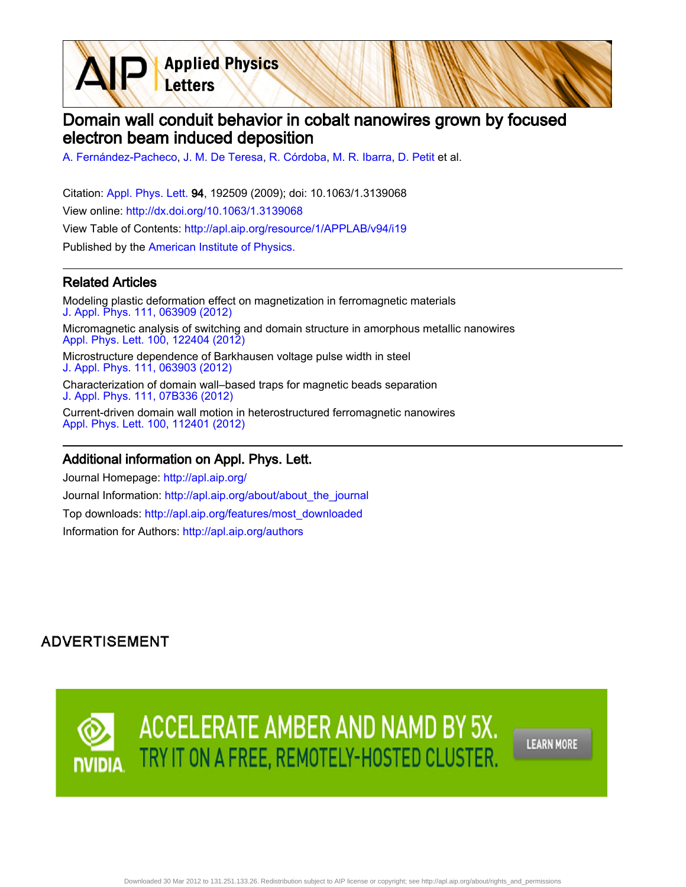**Applied Physics** Letters

# Domain wall conduit behavior in cobalt nanowires grown by focused electron beam induced deposition

[A. Fernández-Pacheco](http://apl.aip.org/search?sortby=newestdate&q=&searchzone=2&searchtype=searchin&faceted=faceted&key=AIP_ALL&possible1=A. Fern�ndez-Pacheco&possible1zone=author&alias=&displayid=AIP&ver=pdfcov), [J. M. De Teresa,](http://apl.aip.org/search?sortby=newestdate&q=&searchzone=2&searchtype=searchin&faceted=faceted&key=AIP_ALL&possible1=J. M. De Teresa&possible1zone=author&alias=&displayid=AIP&ver=pdfcov) [R. Córdoba](http://apl.aip.org/search?sortby=newestdate&q=&searchzone=2&searchtype=searchin&faceted=faceted&key=AIP_ALL&possible1=R. C�rdoba&possible1zone=author&alias=&displayid=AIP&ver=pdfcov), [M. R. Ibarra,](http://apl.aip.org/search?sortby=newestdate&q=&searchzone=2&searchtype=searchin&faceted=faceted&key=AIP_ALL&possible1=M. R. Ibarra&possible1zone=author&alias=&displayid=AIP&ver=pdfcov) [D. Petit](http://apl.aip.org/search?sortby=newestdate&q=&searchzone=2&searchtype=searchin&faceted=faceted&key=AIP_ALL&possible1=D. Petit&possible1zone=author&alias=&displayid=AIP&ver=pdfcov) et al.

Citation: [Appl. Phys. Lett. 9](http://apl.aip.org/?ver=pdfcov)4, 192509 (2009); doi: 10.1063/1.3139068 View online: [http://dx.doi.org/10.1063/1.3139068](http://link.aip.org/link/doi/10.1063/1.3139068?ver=pdfcov) View Table of Contents: [http://apl.aip.org/resource/1/APPLAB/v94/i19](http://apl.aip.org/resource/1/APPLAB/v94/i19?ver=pdfcov) Published by the [American Institute of Physics.](http://www.aip.org/?ver=pdfcov)

#### Related Articles

Modeling plastic deformation effect on magnetization in ferromagnetic materials [J. Appl. Phys. 111, 063909 \(2012\)](http://link.aip.org/link/doi/10.1063/1.3695460?ver=pdfcov) Micromagnetic analysis of switching and domain structure in amorphous metallic nanowires [Appl. Phys. Lett. 100, 122404 \(2012\)](http://link.aip.org/link/doi/10.1063/1.3696046?ver=pdfcov) Microstructure dependence of Barkhausen voltage pulse width in steel [J. Appl. Phys. 111, 063903 \(2012\)](http://link.aip.org/link/doi/10.1063/1.3694017?ver=pdfcov) Characterization of domain wall–based traps for magnetic beads separation [J. Appl. Phys. 111, 07B336 \(2012\)](http://link.aip.org/link/doi/10.1063/1.3689009?ver=pdfcov) Current-driven domain wall motion in heterostructured ferromagnetic nanowires [Appl. Phys. Lett. 100, 112401 \(2012\)](http://link.aip.org/link/doi/10.1063/1.3692797?ver=pdfcov)

#### Additional information on Appl. Phys. Lett.

Journal Homepage: [http://apl.aip.org/](http://apl.aip.org/?ver=pdfcov) Journal Information: [http://apl.aip.org/about/about\\_the\\_journal](http://apl.aip.org/about/about_the_journal?ver=pdfcov) Top downloads: [http://apl.aip.org/features/most\\_downloaded](http://apl.aip.org/features/most_downloaded?ver=pdfcov) Information for Authors: [http://apl.aip.org/authors](http://apl.aip.org/authors?ver=pdfcov)

## **ADVERTISEMENT**



Downloaded 30 Mar 2012 to 131.251.133.26. Redistribution subject to AIP license or copyright; see http://apl.aip.org/about/rights\_and\_permissions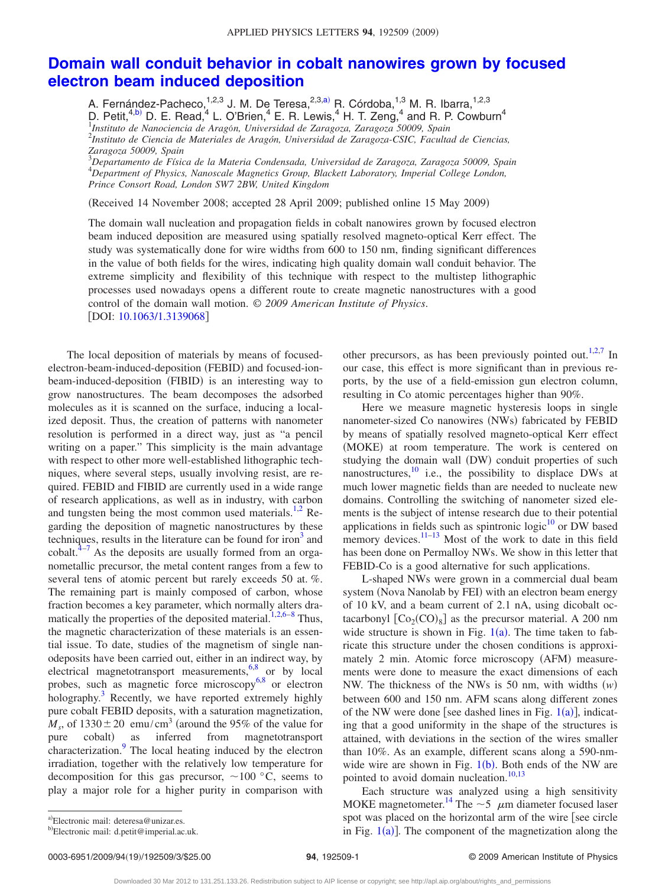### **[Domain wall conduit behavior in cobalt nanowires grown by focused](http://dx.doi.org/10.1063/1.3139068) [electron beam induced deposition](http://dx.doi.org/10.1063/1.3139068)**

A. Fernández-Pacheco,<sup>1,2,3</sup> J. M. De Teresa,<sup>2,3[,a](#page-1-0))</sup> R. Córdoba,<sup>1,3</sup> M. R. Ibarra,<sup>1,2,3</sup> D. Petit,<sup>4[,b](#page-1-1))</sup> D. E. Read,<sup>4</sup> L. O'Brien,<sup>4</sup> E. R. Lewis,<sup>4</sup> H. T. Zeng,<sup>4</sup> and R. P. Cowburn<sup>4</sup> 1 *Instituto de Nanociencia de Arag*ό*n, Universidad de Zaragoza, Zaragoza 50009, Spain* <sup>2</sup> *Instituto de Ciencia de Materiales de Aragón, Universidad de Zaragoza-CSIC, Facultad de Ciencias, Zaragoza 50009, Spain*

3 *Departamento de Física de la Materia Condensada, Universidad de Zaragoza, Zaragoza 50009, Spain* 4 *Department of Physics, Nanoscale Magnetics Group, Blackett Laboratory, Imperial College London, Prince Consort Road, London SW7 2BW, United Kingdom*

Received 14 November 2008; accepted 28 April 2009; published online 15 May 2009-

The domain wall nucleation and propagation fields in cobalt nanowires grown by focused electron beam induced deposition are measured using spatially resolved magneto-optical Kerr effect. The study was systematically done for wire widths from 600 to 150 nm, finding significant differences in the value of both fields for the wires, indicating high quality domain wall conduit behavior. The extreme simplicity and flexibility of this technique with respect to the multistep lithographic processes used nowadays opens a different route to create magnetic nanostructures with a good control of the domain wall motion. © *2009 American Institute of Physics*. [DOI: [10.1063/1.3139068](http://dx.doi.org/10.1063/1.3139068)]

The local deposition of materials by means of focusedelectron-beam-induced-deposition (FEBID) and focused-ionbeam-induced-deposition (FIBID) is an interesting way to grow nanostructures. The beam decomposes the adsorbed molecules as it is scanned on the surface, inducing a localized deposit. Thus, the creation of patterns with nanometer resolution is performed in a direct way, just as "a pencil writing on a paper." This simplicity is the main advantage with respect to other more well-established lithographic techniques, where several steps, usually involving resist, are required. FEBID and FIBID are currently used in a wide range of research applications, as well as in industry, with carbon and tungsten being the most common used materials.<sup>1,2</sup> Regarding the deposition of magnetic nanostructures by these techniques, results in the literature can be found for iron<sup>3</sup> and cobalt. $4\frac{1}{4}$  As the deposits are usually formed from an organometallic precursor, the metal content ranges from a few to several tens of atomic percent but rarely exceeds 50 at. %. The remaining part is mainly composed of carbon, whose fraction becomes a key parameter, which normally alters dra-matically the properties of the deposited material.<sup>1,2,[6–](#page-3-4)[8](#page-3-5)</sup> Thus, the magnetic characterization of these materials is an essential issue. To date, studies of the magnetism of single nanodeposits have been carried out, either in an indirect way, by electrical magnetotransport measurements,<sup>6,[8](#page-3-5)</sup> or by local probes, such as magnetic force microscopy<sup>6,[8](#page-3-5)</sup> or electron holography.<sup>3</sup> Recently, we have reported extremely highly pure cobalt FEBID deposits, with a saturation magnetization,  $M_s$ , of 1330 ± 20 emu/cm<sup>3</sup> (around the 95% of the value for pure cobalt) as inferred from magnetotransport characterization.<sup>9</sup> The local heating induced by the electron irradiation, together with the relatively low temperature for decomposition for this gas precursor,  $\sim 100$  °C, seems to play a major role for a higher purity in comparison with

other precursors, as has been previously pointed out.<sup>1,2[,7](#page-3-3)</sup> In our case, this effect is more significant than in previous reports, by the use of a field-emission gun electron column, resulting in Co atomic percentages higher than 90%.

Here we measure magnetic hysteresis loops in single nanometer-sized Co nanowires (NWs) fabricated by FEBID by means of spatially resolved magneto-optical Kerr effect (MOKE) at room temperature. The work is centered on studying the domain wall (DW) conduit properties of such nanostructures, $\frac{10}{10}$  i.e., the possibility to displace DWs at much lower magnetic fields than are needed to nucleate new domains. Controlling the switching of nanometer sized elements is the subject of intense research due to their potential applications in fields such as spintronic logic $10$  or DW based memory devices. $11-13$  Most of the work to date in this field has been done on Permalloy NWs. We show in this letter that FEBID-Co is a good alternative for such applications.

L-shaped NWs were grown in a commercial dual beam system (Nova Nanolab by FEI) with an electron beam energy of 10 kV, and a beam current of 2.1 nA, using dicobalt octacarbonyl  $[Co_2(CO)_8]$  as the precursor material. A 200 nm wide structure is shown in Fig.  $1(a)$  $1(a)$ . The time taken to fabricate this structure under the chosen conditions is approximately 2 min. Atomic force microscopy (AFM) measurements were done to measure the exact dimensions of each NW. The thickness of the NWs is 50 nm, with widths  $(w)$ between 600 and 150 nm. AFM scans along different zones of the NW were done [see dashed lines in Fig.  $1(a)$  $1(a)$ ], indicating that a good uniformity in the shape of the structures is attained, with deviations in the section of the wires smaller than 10%. As an example, different scans along a 590-nmwide wire are shown in Fig.  $1(b)$  $1(b)$ . Both ends of the NW are pointed to avoid domain nucleation.<sup>10[,13](#page-3-9)</sup>

Each structure was analyzed using a high sensitivity MOKE magnetometer.<sup>14</sup> The  $\sim$  5  $\mu$ m diameter focused laser spot was placed on the horizontal arm of the wire [see circle in Fig.  $1(a)$  $1(a)$ ]. The component of the magnetization along the

<span id="page-1-1"></span><span id="page-1-0"></span>a)Electronic mail: deteresa@unizar.es.

b)Electronic mail: d.petit@imperial.ac.uk.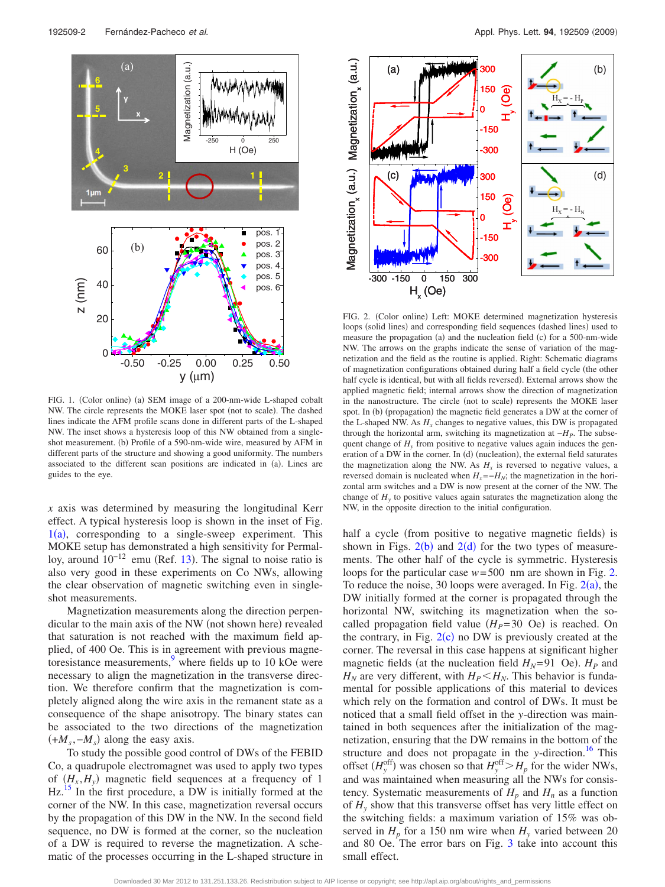<span id="page-2-0"></span>

FIG. 1. (Color online) (a) SEM image of a 200-nm-wide L-shaped cobalt NW. The circle represents the MOKE laser spot (not to scale). The dashed lines indicate the AFM profile scans done in different parts of the L-shaped NW. The inset shows a hysteresis loop of this NW obtained from a singleshot measurement. (b) Profile of a 590-nm-wide wire, measured by AFM in different parts of the structure and showing a good uniformity. The numbers associated to the different scan positions are indicated in (a). Lines are guides to the eye.

*x* axis was determined by measuring the longitudinal Kerr effect. A typical hysteresis loop is shown in the inset of Fig.  $1(a)$  $1(a)$ , corresponding to a single-sweep experiment. This MOKE setup has demonstrated a high sensitivity for Permalloy, around  $10^{-12}$  emu (Ref. [13](#page-3-9)). The signal to noise ratio is also very good in these experiments on Co NWs, allowing the clear observation of magnetic switching even in singleshot measurements.

Magnetization measurements along the direction perpendicular to the main axis of the NW (not shown here) revealed that saturation is not reached with the maximum field applied, of 400 Oe. This is in agreement with previous magnetoresistance measurements, $\frac{9}{9}$  where fields up to 10 kOe were necessary to align the magnetization in the transverse direction. We therefore confirm that the magnetization is completely aligned along the wire axis in the remanent state as a consequence of the shape anisotropy. The binary states can be associated to the two directions of the magnetization  $(+M<sub>s</sub>, -M<sub>s</sub>)$  along the easy axis.

To study the possible good control of DWs of the FEBID Co, a quadrupole electromagnet was used to apply two types of  $(H_x, H_y)$  magnetic field sequences at a frequency of 1  $Hz<sup>15</sup>$  In the first procedure, a DW is initially formed at the corner of the NW. In this case, magnetization reversal occurs by the propagation of this DW in the NW. In the second field sequence, no DW is formed at the corner, so the nucleation of a DW is required to reverse the magnetization. A schematic of the processes occurring in the L-shaped structure in

<span id="page-2-1"></span>

FIG. 2. (Color online) Left: MOKE determined magnetization hysteresis loops (solid lines) and corresponding field sequences (dashed lines) used to measure the propagation (a) and the nucleation field (c) for a 500-nm-wide NW. The arrows on the graphs indicate the sense of variation of the magnetization and the field as the routine is applied. Right: Schematic diagrams of magnetization configurations obtained during half a field cycle the other half cycle is identical, but with all fields reversed). External arrows show the applied magnetic field; internal arrows show the direction of magnetization in the nanostructure. The circle (not to scale) represents the MOKE laser spot. In (b) (propagation) the magnetic field generates a DW at the corner of the L-shaped NW. As  $H_x$  changes to negative values, this DW is propagated through the horizontal arm, switching its magnetization at −*HP*. The subsequent change of  $H<sub>v</sub>$  from positive to negative values again induces the generation of a DW in the corner. In (d) (nucleation), the external field saturates the magnetization along the NW. As  $H<sub>x</sub>$  is reversed to negative values, a reversed domain is nucleated when  $H_x = -H_N$ ; the magnetization in the horizontal arm switches and a DW is now present at the corner of the NW. The change of  $H<sub>v</sub>$  to positive values again saturates the magnetization along the NW, in the opposite direction to the initial configuration.

half a cycle (from positive to negative magnetic fields) is shown in Figs.  $2(b)$  $2(b)$  and  $2(d)$  for the two types of measurements. The other half of the cycle is symmetric. Hysteresis loops for the particular case *w*= 500 nm are shown in Fig. [2.](#page-2-1) To reduce the noise, 30 loops were averaged. In Fig.  $2(a)$  $2(a)$ , the DW initially formed at the corner is propagated through the horizontal NW, switching its magnetization when the socalled propagation field value  $(H_P=30 \text{ Oe})$  is reached. On the contrary, in Fig.  $2(c)$  $2(c)$  no DW is previously created at the corner. The reversal in this case happens at significant higher magnetic fields (at the nucleation field  $H_N$ =91 Oe).  $H_P$  and  $H_N$  are very different, with  $H_P \le H_N$ . This behavior is fundamental for possible applications of this material to devices which rely on the formation and control of DWs. It must be noticed that a small field offset in the *y*-direction was maintained in both sequences after the initialization of the magnetization, ensuring that the DW remains in the bottom of the structure and does not propagate in the *y*-direction.<sup>16</sup> This offset  $(H_y^{\text{off}})$  was chosen so that  $H_y^{\text{off}} > H_p$  for the wider NWs, and was maintained when measuring all the NWs for consistency. Systematic measurements of  $H_p$  and  $H_n$  as a function of  $H<sub>y</sub>$  show that this transverse offset has very little effect on the switching fields: a maximum variation of 15% was observed in  $H_p$  for a 150 nm wire when  $H_v$  varied between 20 and 80 Oe. The error bars on Fig. [3](#page-3-13) take into account this small effect.